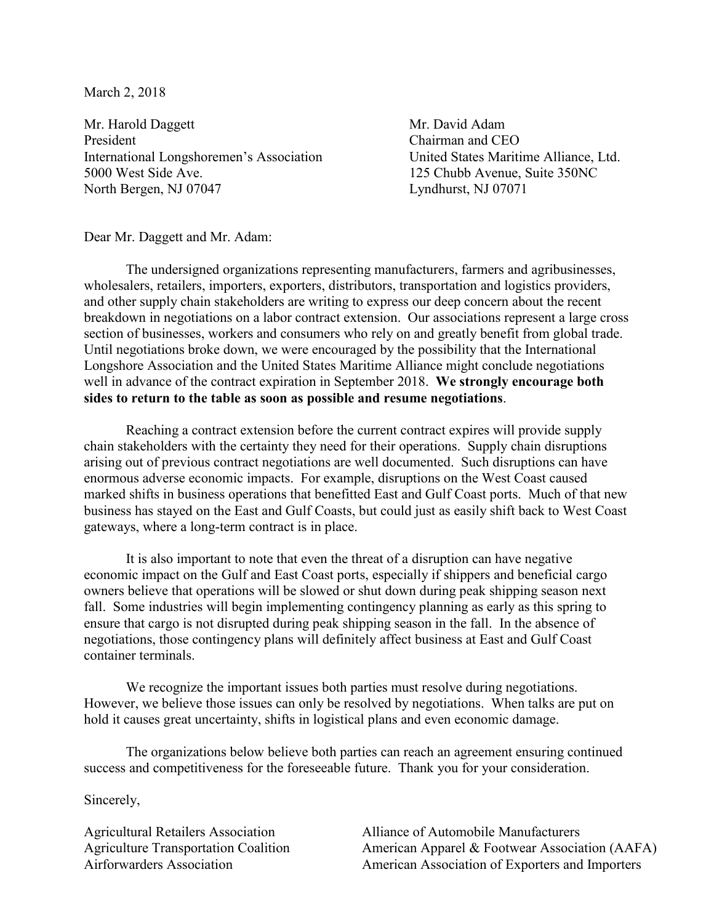March 2, 2018

Mr. Harold Daggett Mr. David Adam President Chairman and CEO International Longshoremen's Association United States Maritime Alliance, Ltd. 5000 West Side Ave. 125 Chubb Avenue, Suite 350NC North Bergen, NJ 07047 Lyndhurst, NJ 07071

Dear Mr. Daggett and Mr. Adam:

The undersigned organizations representing manufacturers, farmers and agribusinesses, wholesalers, retailers, importers, exporters, distributors, transportation and logistics providers, and other supply chain stakeholders are writing to express our deep concern about the recent breakdown in negotiations on a labor contract extension. Our associations represent a large cross section of businesses, workers and consumers who rely on and greatly benefit from global trade. Until negotiations broke down, we were encouraged by the possibility that the International Longshore Association and the United States Maritime Alliance might conclude negotiations well in advance of the contract expiration in September 2018. **We strongly encourage both sides to return to the table as soon as possible and resume negotiations**.

Reaching a contract extension before the current contract expires will provide supply chain stakeholders with the certainty they need for their operations. Supply chain disruptions arising out of previous contract negotiations are well documented. Such disruptions can have enormous adverse economic impacts. For example, disruptions on the West Coast caused marked shifts in business operations that benefitted East and Gulf Coast ports. Much of that new business has stayed on the East and Gulf Coasts, but could just as easily shift back to West Coast gateways, where a long-term contract is in place.

It is also important to note that even the threat of a disruption can have negative economic impact on the Gulf and East Coast ports, especially if shippers and beneficial cargo owners believe that operations will be slowed or shut down during peak shipping season next fall. Some industries will begin implementing contingency planning as early as this spring to ensure that cargo is not disrupted during peak shipping season in the fall. In the absence of negotiations, those contingency plans will definitely affect business at East and Gulf Coast container terminals.

We recognize the important issues both parties must resolve during negotiations. However, we believe those issues can only be resolved by negotiations. When talks are put on hold it causes great uncertainty, shifts in logistical plans and even economic damage.

The organizations below believe both parties can reach an agreement ensuring continued success and competitiveness for the foreseeable future. Thank you for your consideration.

Sincerely,

Agricultural Retailers Association Agriculture Transportation Coalition Airforwarders Association

Alliance of Automobile Manufacturers American Apparel & Footwear Association (AAFA) American Association of Exporters and Importers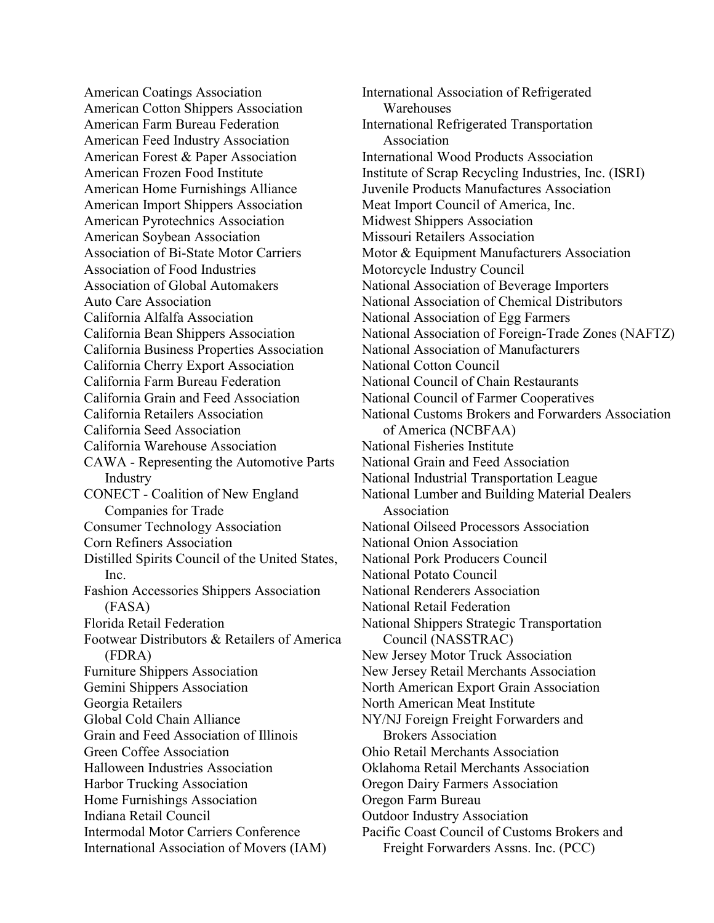American Coatings Association American Cotton Shippers Association American Farm Bureau Federation American Feed Industry Association American Forest & Paper Association American Frozen Food Institute American Home Furnishings Alliance American Import Shippers Association American Pyrotechnics Association American Soybean Association Association of Bi-State Motor Carriers Association of Food Industries Association of Global Automakers Auto Care Association California Alfalfa Association California Bean Shippers Association California Business Properties Association California Cherry Export Association California Farm Bureau Federation California Grain and Feed Association California Retailers Association California Seed Association California Warehouse Association CAWA - Representing the Automotive Parts Industry CONECT - Coalition of New England Companies for Trade Consumer Technology Association Corn Refiners Association Distilled Spirits Council of the United States, Inc. Fashion Accessories Shippers Association (FASA) Florida Retail Federation Footwear Distributors & Retailers of America (FDRA) Furniture Shippers Association Gemini Shippers Association Georgia Retailers Global Cold Chain Alliance Grain and Feed Association of Illinois Green Coffee Association Halloween Industries Association Harbor Trucking Association Home Furnishings Association Indiana Retail Council Intermodal Motor Carriers Conference International Association of Movers (IAM)

International Association of Refrigerated **Warehouses** International Refrigerated Transportation Association International Wood Products Association Institute of Scrap Recycling Industries, Inc. (ISRI) Juvenile Products Manufactures Association Meat Import Council of America, Inc. Midwest Shippers Association Missouri Retailers Association Motor & Equipment Manufacturers Association Motorcycle Industry Council National Association of Beverage Importers National Association of Chemical Distributors National Association of Egg Farmers National Association of Foreign-Trade Zones (NAFTZ) National Association of Manufacturers National Cotton Council National Council of Chain Restaurants National Council of Farmer Cooperatives National Customs Brokers and Forwarders Association of America (NCBFAA) National Fisheries Institute National Grain and Feed Association National Industrial Transportation League National Lumber and Building Material Dealers Association National Oilseed Processors Association National Onion Association National Pork Producers Council National Potato Council National Renderers Association National Retail Federation National Shippers Strategic Transportation Council (NASSTRAC) New Jersey Motor Truck Association New Jersey Retail Merchants Association North American Export Grain Association North American Meat Institute NY/NJ Foreign Freight Forwarders and Brokers Association Ohio Retail Merchants Association Oklahoma Retail Merchants Association Oregon Dairy Farmers Association Oregon Farm Bureau Outdoor Industry Association Pacific Coast Council of Customs Brokers and Freight Forwarders Assns. Inc. (PCC)